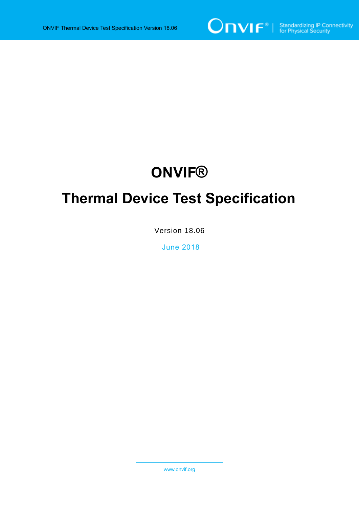

# **ONVIF®**

# **Thermal Device Test Specification**

Version 18.06

June 2018

www.onvif.org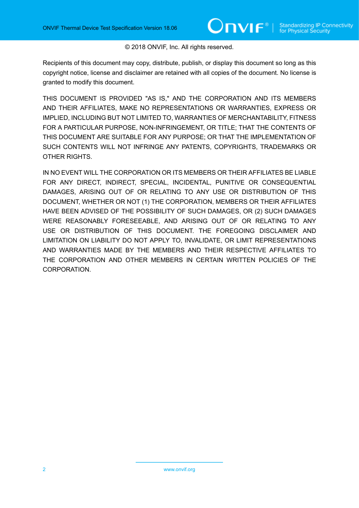#### © 2018 ONVIF, Inc. All rights reserved.

Recipients of this document may copy, distribute, publish, or display this document so long as this copyright notice, license and disclaimer are retained with all copies of the document. No license is granted to modify this document.

THIS DOCUMENT IS PROVIDED "AS IS," AND THE CORPORATION AND ITS MEMBERS AND THEIR AFFILIATES, MAKE NO REPRESENTATIONS OR WARRANTIES, EXPRESS OR IMPLIED, INCLUDING BUT NOT LIMITED TO, WARRANTIES OF MERCHANTABILITY, FITNESS FOR A PARTICULAR PURPOSE, NON-INFRINGEMENT, OR TITLE; THAT THE CONTENTS OF THIS DOCUMENT ARE SUITABLE FOR ANY PURPOSE; OR THAT THE IMPLEMENTATION OF SUCH CONTENTS WILL NOT INFRINGE ANY PATENTS, COPYRIGHTS, TRADEMARKS OR OTHER RIGHTS.

IN NO EVENT WILL THE CORPORATION OR ITS MEMBERS OR THEIR AFFILIATES BE LIABLE FOR ANY DIRECT, INDIRECT, SPECIAL, INCIDENTAL, PUNITIVE OR CONSEQUENTIAL DAMAGES, ARISING OUT OF OR RELATING TO ANY USE OR DISTRIBUTION OF THIS DOCUMENT, WHETHER OR NOT (1) THE CORPORATION, MEMBERS OR THEIR AFFILIATES HAVE BEEN ADVISED OF THE POSSIBILITY OF SUCH DAMAGES, OR (2) SUCH DAMAGES WERE REASONABLY FORESEEABLE, AND ARISING OUT OF OR RELATING TO ANY USE OR DISTRIBUTION OF THIS DOCUMENT. THE FOREGOING DISCLAIMER AND LIMITATION ON LIABILITY DO NOT APPLY TO, INVALIDATE, OR LIMIT REPRESENTATIONS AND WARRANTIES MADE BY THE MEMBERS AND THEIR RESPECTIVE AFFILIATES TO THE CORPORATION AND OTHER MEMBERS IN CERTAIN WRITTEN POLICIES OF THE CORPORATION.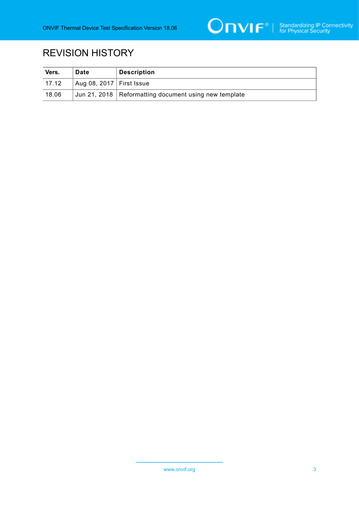

# REVISION HISTORY

| Vers. | Date                             | <b>Description</b>                                      |
|-------|----------------------------------|---------------------------------------------------------|
| 17.12 | Aug 08, 2017 $\vert$ First Issue |                                                         |
| 18.06 |                                  | Jun 21, 2018   Reformatting document using new template |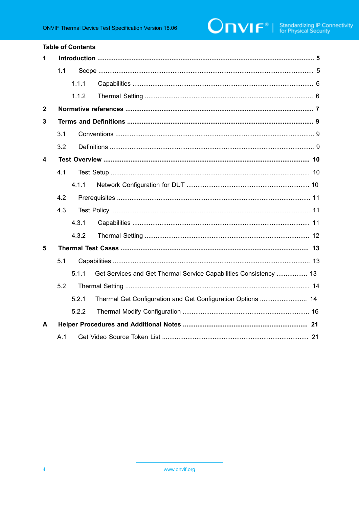#### **Table of Contents**

| 1           |     |       |                                                                   |  |  |  |
|-------------|-----|-------|-------------------------------------------------------------------|--|--|--|
|             | 1.1 |       |                                                                   |  |  |  |
|             |     | 1.1.1 |                                                                   |  |  |  |
|             |     | 1.1.2 |                                                                   |  |  |  |
| $\mathbf 2$ |     |       |                                                                   |  |  |  |
| 3           |     |       |                                                                   |  |  |  |
|             | 3.1 |       |                                                                   |  |  |  |
|             | 3.2 |       |                                                                   |  |  |  |
| 4           |     |       |                                                                   |  |  |  |
|             | 4.1 |       |                                                                   |  |  |  |
|             |     | 4.1.1 |                                                                   |  |  |  |
|             | 4.2 |       |                                                                   |  |  |  |
|             | 4.3 |       |                                                                   |  |  |  |
|             |     | 4.3.1 |                                                                   |  |  |  |
|             |     | 4.3.2 |                                                                   |  |  |  |
| 5           |     |       |                                                                   |  |  |  |
|             | 5.1 |       |                                                                   |  |  |  |
|             |     | 5.1.1 | Get Services and Get Thermal Service Capabilities Consistency  13 |  |  |  |
|             | 5.2 |       |                                                                   |  |  |  |
|             |     | 5.2.1 | Thermal Get Configuration and Get Configuration Options  14       |  |  |  |
|             |     | 5.2.2 |                                                                   |  |  |  |
| A           |     |       |                                                                   |  |  |  |
|             | A.1 |       |                                                                   |  |  |  |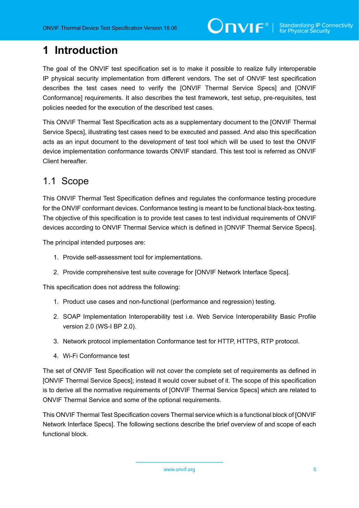# <span id="page-4-0"></span>**1 Introduction**

The goal of the ONVIF test specification set is to make it possible to realize fully interoperable IP physical security implementation from different vendors. The set of ONVIF test specification describes the test cases need to verify the [ONVIF Thermal Service Specs] and [ONVIF Conformance] requirements. It also describes the test framework, test setup, pre-requisites, test policies needed for the execution of the described test cases.

This ONVIF Thermal Test Specification acts as a supplementary document to the [ONVIF Thermal Service Specs], illustrating test cases need to be executed and passed. And also this specification acts as an input document to the development of test tool which will be used to test the ONVIF device implementation conformance towards ONVIF standard. This test tool is referred as ONVIF Client hereafter.

### <span id="page-4-1"></span>1.1 Scope

This ONVIF Thermal Test Specification defines and regulates the conformance testing procedure for the ONVIF conformant devices. Conformance testing is meant to be functional black-box testing. The objective of this specification is to provide test cases to test individual requirements of ONVIF devices according to ONVIF Thermal Service which is defined in [ONVIF Thermal Service Specs].

The principal intended purposes are:

- 1. Provide self-assessment tool for implementations.
- 2. Provide comprehensive test suite coverage for [ONVIF Network Interface Specs].

This specification does not address the following:

- 1. Product use cases and non-functional (performance and regression) testing.
- 2. SOAP Implementation Interoperability test i.e. Web Service Interoperability Basic Profile version 2.0 (WS-I BP 2.0).
- 3. Network protocol implementation Conformance test for HTTP, HTTPS, RTP protocol.
- 4. Wi-Fi Conformance test

The set of ONVIF Test Specification will not cover the complete set of requirements as defined in [ONVIF Thermal Service Specs]; instead it would cover subset of it. The scope of this specification is to derive all the normative requirements of [ONVIF Thermal Service Specs] which are related to ONVIF Thermal Service and some of the optional requirements.

This ONVIF Thermal Test Specification covers Thermal service which is a functional block of [ONVIF Network Interface Specs]. The following sections describe the brief overview of and scope of each functional block.

www.onvif.org 5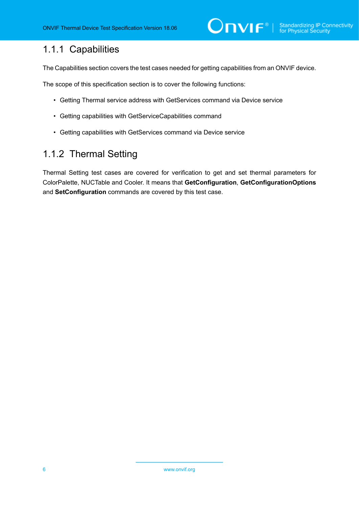### <span id="page-5-0"></span>1.1.1 Capabilities

The Capabilities section covers the test cases needed for getting capabilities from an ONVIF device.

The scope of this specification section is to cover the following functions:

- Getting Thermal service address with GetServices command via Device service
- Getting capabilities with GetServiceCapabilities command
- Getting capabilities with GetServices command via Device service

### <span id="page-5-1"></span>1.1.2 Thermal Setting

Thermal Setting test cases are covered for verification to get and set thermal parameters for ColorPalette, NUCTable and Cooler. It means that **GetConfiguration**, **GetConfigurationOptions** and **SetConfiguration** commands are covered by this test case.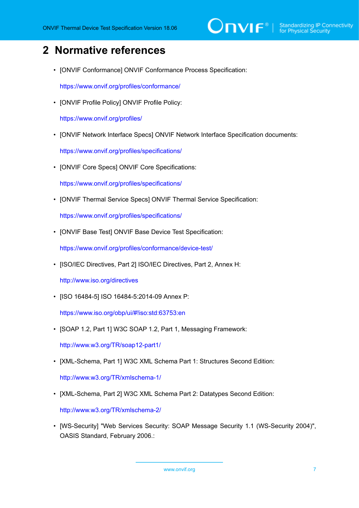# <span id="page-6-0"></span>**2 Normative references**

• [ONVIF Conformance] ONVIF Conformance Process Specification:

<https://www.onvif.org/profiles/conformance/>

• [ONVIF Profile Policy] ONVIF Profile Policy:

<https://www.onvif.org/profiles/>

• [ONVIF Network Interface Specs] ONVIF Network Interface Specification documents:

<https://www.onvif.org/profiles/specifications/>

• [ONVIF Core Specs] ONVIF Core Specifications:

<https://www.onvif.org/profiles/specifications/>

• [ONVIF Thermal Service Specs] ONVIF Thermal Service Specification:

<https://www.onvif.org/profiles/specifications/>

• [ONVIF Base Test] ONVIF Base Device Test Specification:

<https://www.onvif.org/profiles/conformance/device-test/>

• [ISO/IEC Directives, Part 2] ISO/IEC Directives, Part 2, Annex H:

<http://www.iso.org/directives>

• [ISO 16484-5] ISO 16484-5:2014-09 Annex P:

<https://www.iso.org/obp/ui/#!iso:std:63753:en>

• [SOAP 1.2, Part 1] W3C SOAP 1.2, Part 1, Messaging Framework:

<http://www.w3.org/TR/soap12-part1/>

• [XML-Schema, Part 1] W3C XML Schema Part 1: Structures Second Edition:

<http://www.w3.org/TR/xmlschema-1/>

• [XML-Schema, Part 2] W3C XML Schema Part 2: Datatypes Second Edition:

<http://www.w3.org/TR/xmlschema-2/>

• [WS-Security] "Web Services Security: SOAP Message Security 1.1 (WS-Security 2004)", OASIS Standard, February 2006.: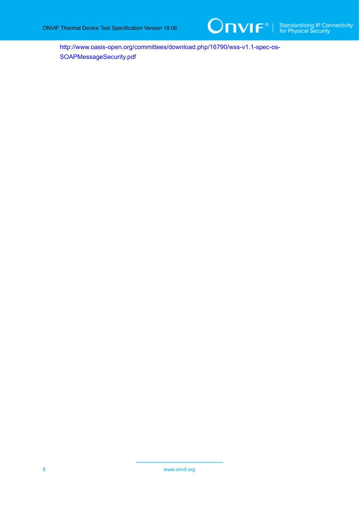

[http://www.oasis-open.org/committees/download.php/16790/wss-v1.1-spec-os-](http://www.oasis-open.org/committees/download.php/16790/wss-v1.1-spec-os-SOAPMessageSecurity.pdf)[SOAPMessageSecurity.pdf](http://www.oasis-open.org/committees/download.php/16790/wss-v1.1-spec-os-SOAPMessageSecurity.pdf)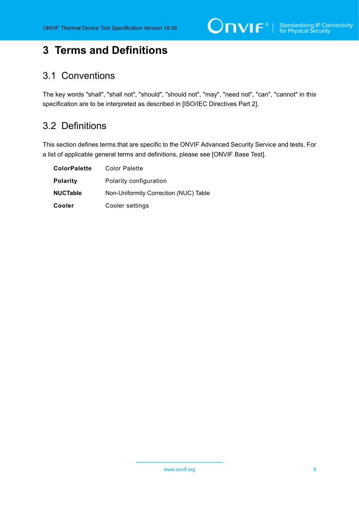# <span id="page-8-0"></span>**3 Terms and Definitions**

### <span id="page-8-1"></span>3.1 Conventions

The key words "shall", "shall not", "should", "should not", "may", "need not", "can", "cannot" in this specification are to be interpreted as described in [ISO/IEC Directives Part 2].

### <span id="page-8-2"></span>3.2 Definitions

This section defines terms that are specific to the ONVIF Advanced Security Service and tests. For a list of applicable general terms and definitions, please see [ONVIF Base Test].

| <b>ColorPalette</b> | <b>Color Palette</b>                  |  |  |
|---------------------|---------------------------------------|--|--|
| <b>Polarity</b>     | Polarity configuration                |  |  |
| <b>NUCTable</b>     | Non-Uniformity Correction (NUC) Table |  |  |
| Cooler              | Cooler settings                       |  |  |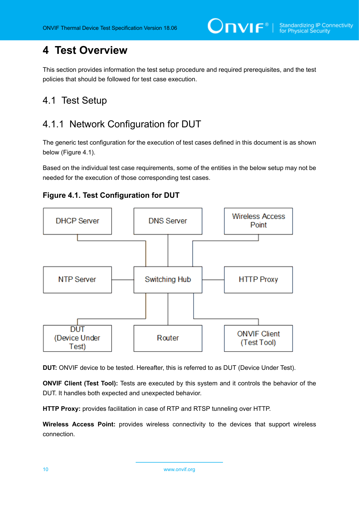# <span id="page-9-0"></span>**4 Test Overview**

This section provides information the test setup procedure and required prerequisites, and the test policies that should be followed for test case execution.

### <span id="page-9-1"></span>4.1 Test Setup

### <span id="page-9-2"></span>4.1.1 Network Configuration for DUT

The generic test configuration for the execution of test cases defined in this document is as shown below (Figure 4.1).

Based on the individual test case requirements, some of the entities in the below setup may not be needed for the execution of those corresponding test cases.





**DUT:** ONVIF device to be tested. Hereafter, this is referred to as DUT (Device Under Test).

**ONVIF Client (Test Tool):** Tests are executed by this system and it controls the behavior of the DUT. It handles both expected and unexpected behavior.

**HTTP Proxy:** provides facilitation in case of RTP and RTSP tunneling over HTTP.

**Wireless Access Point:** provides wireless connectivity to the devices that support wireless connection.

10 www.onvif.org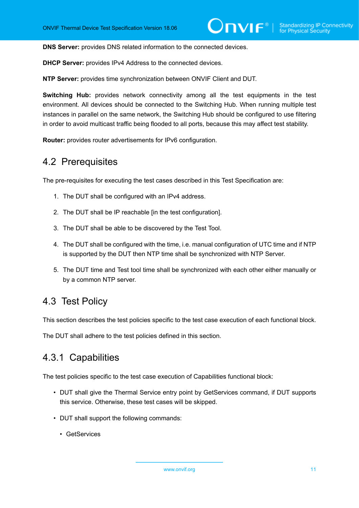**DNS Server:** provides DNS related information to the connected devices.

**DHCP Server:** provides IPv4 Address to the connected devices.

**NTP Server:** provides time synchronization between ONVIF Client and DUT.

**Switching Hub:** provides network connectivity among all the test equipments in the test environment. All devices should be connected to the Switching Hub. When running multiple test instances in parallel on the same network, the Switching Hub should be configured to use filtering in order to avoid multicast traffic being flooded to all ports, because this may affect test stability.

<span id="page-10-0"></span>**Router:** provides router advertisements for IPv6 configuration.

### 4.2 Prerequisites

The pre-requisites for executing the test cases described in this Test Specification are:

- 1. The DUT shall be configured with an IPv4 address.
- 2. The DUT shall be IP reachable [in the test configuration].
- 3. The DUT shall be able to be discovered by the Test Tool.
- 4. The DUT shall be configured with the time, i.e. manual configuration of UTC time and if NTP is supported by the DUT then NTP time shall be synchronized with NTP Server.
- 5. The DUT time and Test tool time shall be synchronized with each other either manually or by a common NTP server.

### <span id="page-10-1"></span>4.3 Test Policy

This section describes the test policies specific to the test case execution of each functional block.

<span id="page-10-2"></span>The DUT shall adhere to the test policies defined in this section.

### 4.3.1 Capabilities

The test policies specific to the test case execution of Capabilities functional block:

- DUT shall give the Thermal Service entry point by GetServices command, if DUT supports this service. Otherwise, these test cases will be skipped.
- DUT shall support the following commands:
	- GetServices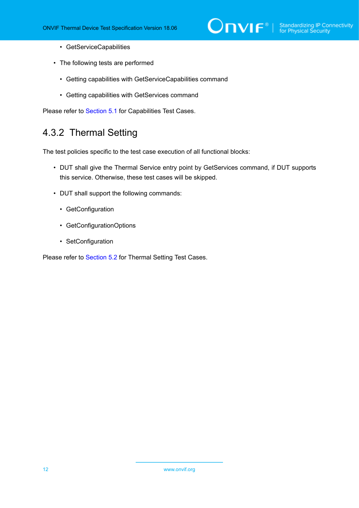- GetServiceCapabilities
- The following tests are performed
	- Getting capabilities with GetServiceCapabilities command
	- Getting capabilities with GetServices command

<span id="page-11-0"></span>Please refer to [Section 5.1](#page-12-1) for Capabilities Test Cases.

### 4.3.2 Thermal Setting

The test policies specific to the test case execution of all functional blocks:

- DUT shall give the Thermal Service entry point by GetServices command, if DUT supports this service. Otherwise, these test cases will be skipped.
- DUT shall support the following commands:
	- GetConfiguration
	- GetConfigurationOptions
	- SetConfiguration

Please refer to [Section 5.2](#page-13-0) for Thermal Setting Test Cases.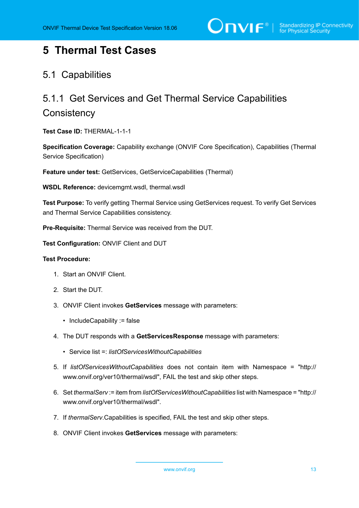# <span id="page-12-0"></span>**5 Thermal Test Cases**

### <span id="page-12-1"></span>5.1 Capabilities

# <span id="page-12-2"></span>5.1.1 Get Services and Get Thermal Service Capabilities **Consistency**

**Test Case ID:** THERMAL-1-1-1

**Specification Coverage:** Capability exchange (ONVIF Core Specification), Capabilities (Thermal Service Specification)

**Feature under test:** GetServices, GetServiceCapabilities (Thermal)

**WSDL Reference:** devicemgmt.wsdl, thermal.wsdl

**Test Purpose:** To verify getting Thermal Service using GetServices request. To verify Get Services and Thermal Service Capabilities consistency.

**Pre-Requisite:** Thermal Service was received from the DUT.

**Test Configuration:** ONVIF Client and DUT

#### **Test Procedure:**

- 1. Start an ONVIF Client.
- 2. Start the DUT.
- 3. ONVIF Client invokes **GetServices** message with parameters:
	- IncludeCapability := false
- 4. The DUT responds with a **GetServicesResponse** message with parameters:
	- Service list =: *listOfServicesWithoutCapabilities*
- 5. If *listOfServicesWithoutCapabilities* does not contain item with Namespace = "http:// www.onvif.org/ver10/thermal/wsdl", FAIL the test and skip other steps.
- 6. Set *thermalServ* := item from *listOfServicesWithoutCapabilities* list with Namespace = "http:// www.onvif.org/ver10/thermal/wsdl".
- 7. If *thermalServ*.Capabilities is specified, FAIL the test and skip other steps.
- 8. ONVIF Client invokes **GetServices** message with parameters: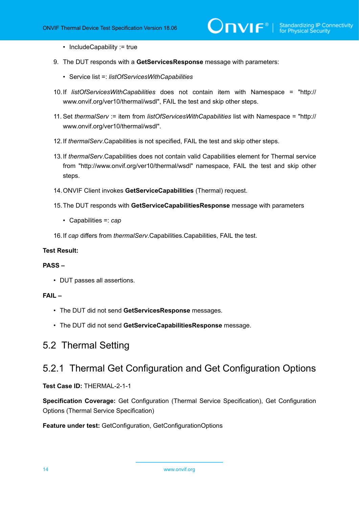- IncludeCapability := true
- 9. The DUT responds with a **GetServicesResponse** message with parameters:
	- Service list =: *listOfServicesWithCapabilities*
- 10.If *listOfServicesWithCapabilities* does not contain item with Namespace = "http:// www.onvif.org/ver10/thermal/wsdl", FAIL the test and skip other steps.
- 11. Set *thermalServ* := item from *listOfServicesWithCapabilities* list with Namespace = "http:// www.onvif.org/ver10/thermal/wsdl".
- 12.If *thermalServ*.Capabilities is not specified, FAIL the test and skip other steps.
- 13.If *thermalServ*.Capabilities does not contain valid Capabilities element for Thermal service from "http://www.onvif.org/ver10/thermal/wsdl" namespace, FAIL the test and skip other steps.
- 14.ONVIF Client invokes **GetServiceCapabilities** (Thermal) request.
- 15.The DUT responds with **GetServiceCapabilitiesResponse** message with parameters
	- Capabilities =: *cap*
- 16.If *cap* differs from *thermalServ*.Capabilities.Capabilities, FAIL the test.

#### **Test Result:**

#### **PASS –**

• DUT passes all assertions.

#### **FAIL –**

- The DUT did not send **GetServicesResponse** messages.
- The DUT did not send **GetServiceCapabilitiesResponse** message.

### <span id="page-13-0"></span>5.2 Thermal Setting

### <span id="page-13-1"></span>5.2.1 Thermal Get Configuration and Get Configuration Options

**Test Case ID:** THERMAL-2-1-1

**Specification Coverage:** Get Configuration (Thermal Service Specification), Get Configuration Options (Thermal Service Specification)

**Feature under test:** GetConfiguration, GetConfigurationOptions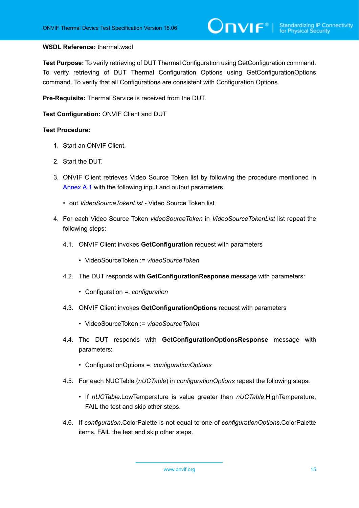#### **WSDL Reference:** thermal.wsdl

**Test Purpose:** To verify retrieving of DUT Thermal Configuration using GetConfiguration command. To verify retrieving of DUT Thermal Configuration Options using GetConfigurationOptions command. To verify that all Configurations are consistent with Configuration Options.

**Pre-Requisite:** Thermal Service is received from the DUT.

**Test Configuration:** ONVIF Client and DUT

#### **Test Procedure:**

- 1. Start an ONVIF Client.
- 2. Start the DUT.
- 3. ONVIF Client retrieves Video Source Token list by following the procedure mentioned in [Annex A.1](#page-20-1) with the following input and output parameters
	- out *VideoSourceTokenList* Video Source Token list
- <span id="page-14-0"></span>4. For each Video Source Token *videoSourceToken* in *VideoSourceTokenList* list repeat the following steps:
	- 4.1. ONVIF Client invokes **GetConfiguration** request with parameters
		- VideoSourceToken := *videoSourceToken*
	- 4.2. The DUT responds with **GetConfigurationResponse** message with parameters:
		- Configuration =: *configuration*
	- 4.3. ONVIF Client invokes **GetConfigurationOptions** request with parameters
		- VideoSourceToken := *videoSourceToken*
	- 4.4. The DUT responds with **GetConfigurationOptionsResponse** message with parameters:
		- ConfigurationOptions =: *configurationOptions*
	- 4.5. For each NUCTable (*nUCTable*) in *configurationOptions* repeat the following steps:
		- If *nUCTable*.LowTemperature is value greater than *nUCTable*.HighTemperature, FAIL the test and skip other steps.
	- 4.6. If *configuration*.ColorPalette is not equal to one of *configurationOptions*.ColorPalette items, FAIL the test and skip other steps.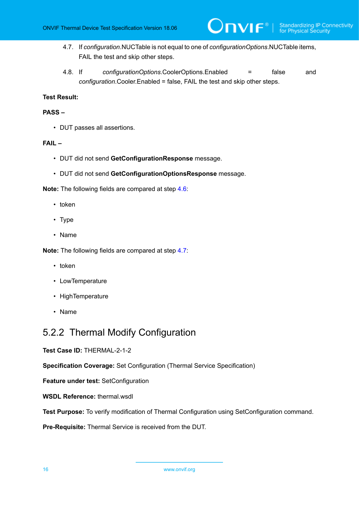<span id="page-15-1"></span>4.7. If *configuration*.NUCTable is not equal to one of *configurationOptions*.NUCTable items, FAIL the test and skip other steps.

 $\mathsf{D}\mathbf{N}\mathsf{I}\mathsf{F}^\ast$  :

4.8. If *configurationOptions*.CoolerOptions.Enabled = false and *configuration*.Cooler.Enabled = false, FAIL the test and skip other steps.

#### **Test Result:**

#### **PASS –**

• DUT passes all assertions.

#### **FAIL –**

- DUT did not send **GetConfigurationResponse** message.
- DUT did not send **GetConfigurationOptionsResponse** message.

**Note:** The following fields are compared at step [4.6](#page-14-0):

- token
- Type
- Name

**Note:** The following fields are compared at step [4.7](#page-15-1):

- token
- LowTemperature
- HighTemperature
- Name

### <span id="page-15-0"></span>5.2.2 Thermal Modify Configuration

**Test Case ID:** THERMAL-2-1-2

**Specification Coverage:** Set Configuration (Thermal Service Specification)

**Feature under test:** SetConfiguration

**WSDL Reference:** thermal.wsdl

**Test Purpose:** To verify modification of Thermal Configuration using SetConfiguration command.

**Pre-Requisite:** Thermal Service is received from the DUT.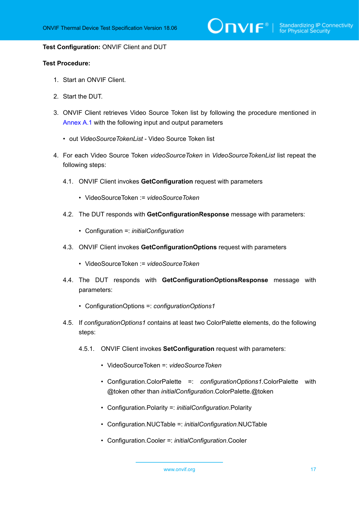#### **Test Configuration:** ONVIF Client and DUT

#### **Test Procedure:**

- 1. Start an ONVIF Client.
- 2. Start the DUT.
- 3. ONVIF Client retrieves Video Source Token list by following the procedure mentioned in [Annex A.1](#page-20-1) with the following input and output parameters
	- out *VideoSourceTokenList* Video Source Token list
- <span id="page-16-0"></span>4. For each Video Source Token *videoSourceToken* in *VideoSourceTokenList* list repeat the following steps:
	- 4.1. ONVIF Client invokes **GetConfiguration** request with parameters
		- VideoSourceToken := *videoSourceToken*
	- 4.2. The DUT responds with **GetConfigurationResponse** message with parameters:
		- Configuration =: *initialConfiguration*
	- 4.3. ONVIF Client invokes **GetConfigurationOptions** request with parameters
		- VideoSourceToken := *videoSourceToken*
	- 4.4. The DUT responds with **GetConfigurationOptionsResponse** message with parameters:
		- ConfigurationOptions =: *configurationOptions1*
	- 4.5. If *configurationOptions1* contains at least two ColorPalette elements, do the following steps:
		- 4.5.1. ONVIF Client invokes **SetConfiguration** request with parameters:
			- VideoSourceToken =: *videoSourceToken*
			- Configuration.ColorPalette =: *configurationOptions1*.ColorPalette with @token other than *initialConfiguration*.ColorPalette.@token
			- Configuration.Polarity =: *initialConfiguration*.Polarity
			- Configuration.NUCTable =: *initialConfiguration*.NUCTable
			- Configuration.Cooler =: *initialConfiguration*.Cooler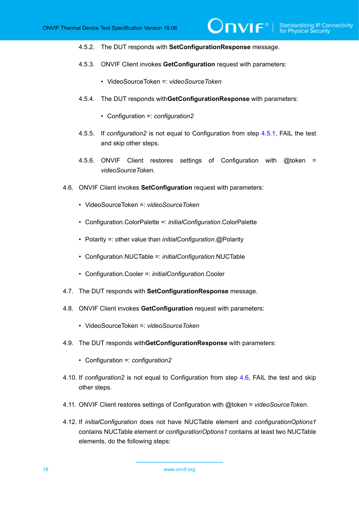- 4.5.2. The DUT responds with **SetConfigurationResponse** message.
- 4.5.3. ONVIF Client invokes **GetConfiguration** request with parameters:
	- VideoSourceToken =: *videoSourceToken*
- 4.5.4. The DUT responds with**GetConfigurationResponse** with parameters:
	- Configuration =: *configuration2*
- 4.5.5. If *configuration2* is not equal to Configuration from step [4.5.1,](#page-16-0) FAIL the test and skip other steps.
- 4.5.6. ONVIF Client restores settings of Configuration with @token = *videoSourceToken*.
- <span id="page-17-0"></span>4.6. ONVIF Client invokes **SetConfiguration** request with parameters:
	- VideoSourceToken =: *videoSourceToken*
	- Configuration.ColorPalette =: *initialConfiguration*.ColorPalette
	- Polarity =: other value than *initialConfiguration*.@Polarity
	- Configuration.NUCTable =: *initialConfiguration*.NUCTable
	- Configuration.Cooler =: *initialConfiguration*.Cooler
- 4.7. The DUT responds with **SetConfigurationResponse** message.
- 4.8. ONVIF Client invokes **GetConfiguration** request with parameters:
	- VideoSourceToken =: *videoSourceToken*
- 4.9. The DUT responds with**GetConfigurationResponse** with parameters:
	- Configuration =: *configuration2*
- 4.10. If *configuration2* is not equal to Configuration from step [4.6](#page-17-0), FAIL the test and skip other steps.
- 4.11. ONVIF Client restores settings of Configuration with @token = *videoSourceToken*.
- 4.12. If *initialConfiguration* does not have NUCTable element and *configurationOptions1* contains NUCTable element or *configurationOptions1* contains at least two NUCTable elements, do the following steps: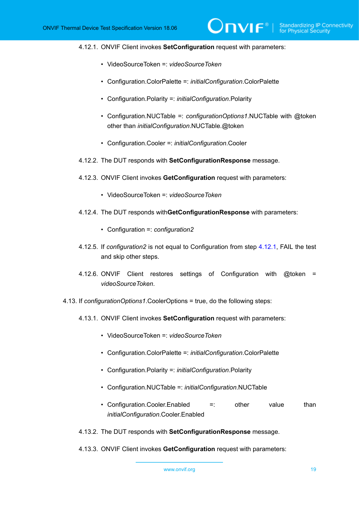#### <span id="page-18-0"></span>4.12.1. ONVIF Client invokes **SetConfiguration** request with parameters:

- VideoSourceToken =: *videoSourceToken*
- Configuration.ColorPalette =: *initialConfiguration*.ColorPalette
- Configuration.Polarity =: *initialConfiguration*.Polarity
- Configuration.NUCTable =: *configurationOptions1*.NUCTable with @token other than *initialConfiguration*.NUCTable.@token

 $\partial$ DVIF $^{\circ}$ 

- Configuration.Cooler =: *initialConfiguration*.Cooler
- 4.12.2. The DUT responds with **SetConfigurationResponse** message.
- 4.12.3. ONVIF Client invokes **GetConfiguration** request with parameters:
	- VideoSourceToken =: *videoSourceToken*
- 4.12.4. The DUT responds with**GetConfigurationResponse** with parameters:
	- Configuration =: *configuration2*
- 4.12.5. If *configuration2* is not equal to Configuration from step [4.12.1](#page-18-0), FAIL the test and skip other steps.
- 4.12.6. ONVIF Client restores settings of Configuration with @token = *videoSourceToken*.
- <span id="page-18-1"></span>4.13. If *configurationOptions1*.CoolerOptions = true, do the following steps:
	- 4.13.1. ONVIF Client invokes **SetConfiguration** request with parameters:
		- VideoSourceToken =: *videoSourceToken*
		- Configuration.ColorPalette =: *initialConfiguration*.ColorPalette
		- Configuration.Polarity =: *initialConfiguration*.Polarity
		- Configuration.NUCTable =: *initialConfiguration*.NUCTable
		- Configuration. Cooler. Enabled =: other value than *initialConfiguration*.Cooler.Enabled
	- 4.13.2. The DUT responds with **SetConfigurationResponse** message.
	- 4.13.3. ONVIF Client invokes **GetConfiguration** request with parameters: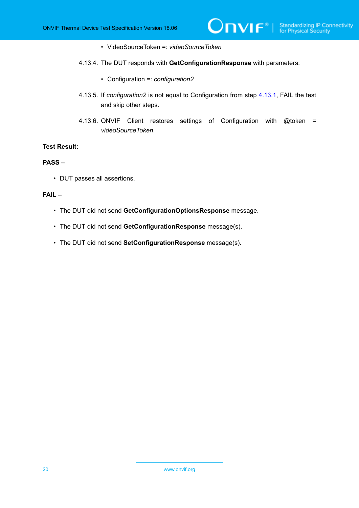- VideoSourceToken =: *videoSourceToken*
- 4.13.4. The DUT responds with **GetConfigurationResponse** with parameters:
	- Configuration =: *configuration2*
- 4.13.5. If *configuration2* is not equal to Configuration from step [4.13.1](#page-18-1), FAIL the test and skip other steps.

 $\mathsf{D}\mathbf{n}\mathsf{V}\mathsf{I}\mathsf{F}^\ast$  i

4.13.6. ONVIF Client restores settings of Configuration with @token = *videoSourceToken*.

#### **Test Result:**

#### **PASS –**

• DUT passes all assertions.

#### **FAIL –**

- The DUT did not send **GetConfigurationOptionsResponse** message.
- The DUT did not send **GetConfigurationResponse** message(s).
- The DUT did not send **SetConfigurationResponse** message(s).